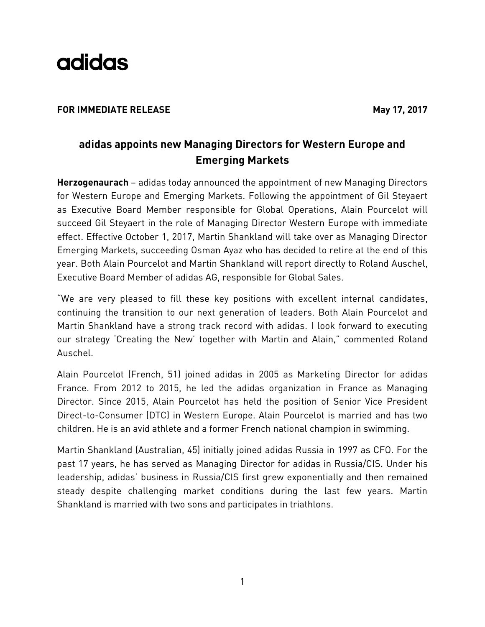

### **FOR IMMEDIATE RELEASE** May 17, 2017

## **adidas appoints new Managing Directors for Western Europe and Emerging Markets**

**Herzogenaurach** – adidas today announced the appointment of new Managing Directors for Western Europe and Emerging Markets. Following the appointment of Gil Steyaert as Executive Board Member responsible for Global Operations, Alain Pourcelot will succeed Gil Steyaert in the role of Managing Director Western Europe with immediate effect. Effective October 1, 2017, Martin Shankland will take over as Managing Director Emerging Markets, succeeding Osman Ayaz who has decided to retire at the end of this year. Both Alain Pourcelot and Martin Shankland will report directly to Roland Auschel, Executive Board Member of adidas AG, responsible for Global Sales.

"We are very pleased to fill these key positions with excellent internal candidates, continuing the transition to our next generation of leaders. Both Alain Pourcelot and Martin Shankland have a strong track record with adidas. I look forward to executing our strategy 'Creating the New' together with Martin and Alain," commented Roland Auschel.

Alain Pourcelot (French, 51) joined adidas in 2005 as Marketing Director for adidas France. From 2012 to 2015, he led the adidas organization in France as Managing Director. Since 2015, Alain Pourcelot has held the position of Senior Vice President Direct-to-Consumer (DTC) in Western Europe. Alain Pourcelot is married and has two children. He is an avid athlete and a former French national champion in swimming.

Martin Shankland (Australian, 45) initially joined adidas Russia in 1997 as CFO. For the past 17 years, he has served as Managing Director for adidas in Russia/CIS. Under his leadership, adidas' business in Russia/CIS first grew exponentially and then remained steady despite challenging market conditions during the last few years. Martin Shankland is married with two sons and participates in triathlons.